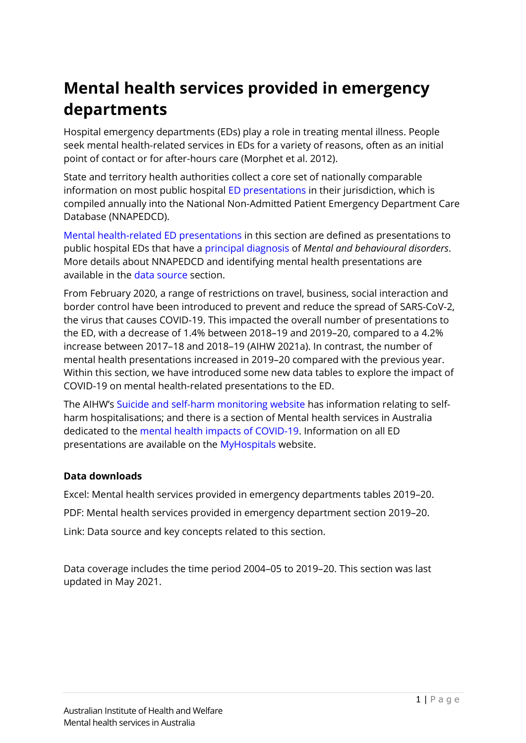# **Mental health services provided in emergency departments**

Hospital emergency departments (EDs) play a role in treating mental illness. People seek mental health-related services in EDs for a variety of reasons, often as an initial point of contact or for after-hours care (Morphet et al. 2012).

State and territory health authorities collect a core set of nationally comparable information on most public hospital ED [presentations](#page-11-0) in their jurisdiction, which is compiled annually into the National Non-Admitted Patient Emergency Department Care Database (NNAPEDCD).

[Mental health-related ED presentations](#page-11-1) in this section are defined as presentations to public hospital EDs that have a [principal diagnosis](#page-11-2) of *Mental and behavioural disorders*. More details about NNAPEDCD and identifying mental health presentations are available in the data [source](#page-8-0) section.

From February 2020, a range of restrictions on travel, business, social interaction and border control have been introduced to prevent and reduce the spread of SARS-CoV-2, the virus that causes COVID-19. This impacted the overall number of presentations to the ED, with a decrease of 1.4% between 2018–19 and 2019–20, compared to a 4.2% increase between 2017–18 and 2018–19 (AIHW 2021a). In contrast, the number of mental health presentations increased in 2019–20 compared with the previous year. Within this section, we have introduced some new data tables to explore the impact of COVID-19 on mental health-related presentations to the ED.

The AIHW's [Suicide and self-harm monitoring website](https://www.aihw.gov.au/suicide-self-harm-monitoring) has information relating to selfharm hospitalisations; and there is a section of Mental health services in Australia dedicated to the [mental health impacts of COVID-19.](https://www.aihw.gov.au/reports/mental-health-services/mental-health-services-in-australia/report-contents/mental-health-impact-of-covid-19) Information on all ED presentations are available on the [MyHospitals](https://www.aihw.gov.au/reports-data/myhospitals) website.

#### **Data downloads**

Excel: Mental health services provided in emergency departments tables 2019–20.

PDF: Mental health services provided in emergency department section 2019–20.

Link: Data source and key concepts related to this section.

Data coverage includes the time period 2004–05 to 2019–20. This section was last updated in May 2021.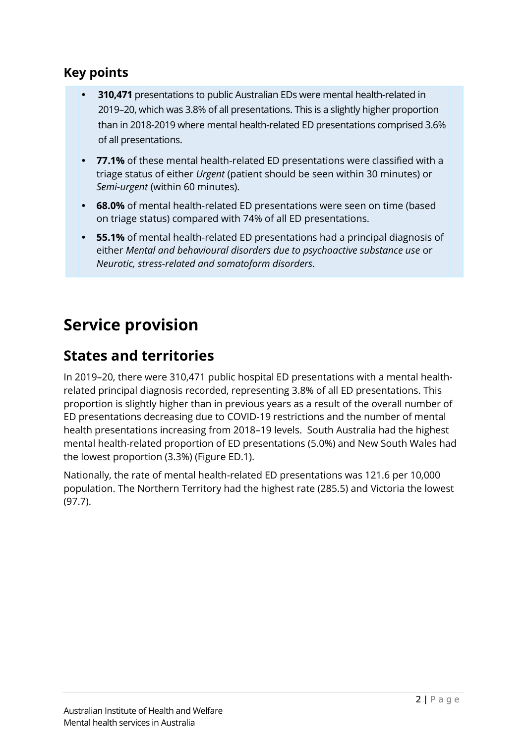#### **Key points**

- **310,471** presentations to public Australian EDs were mental health-related in 2019–20, which was 3.8% of all presentations. This is a slightly higher proportion than in 2018-2019 where mental health-related ED presentations comprised 3.6% of all presentations.
- **77.1%** of these mental health-related ED presentations were classified with a triage status of either *Urgent* (patient should be seen within 30 minutes) or *Semi-urgent* (within 60 minutes).
- **68.0%** of mental health-related ED presentations were seen on time (based on triage status) compared with 74% of all ED presentations.
- **55.1%** of mental health-related ED presentations had a principal diagnosis of either *Mental and behavioural disorders due to psychoactive substance use* or *Neurotic, stress-related and somatoform disorders*.

# **Service provision**

#### **States and territories**

In 2019–20, there were 310,471 public hospital ED presentations with a mental healthrelated principal diagnosis recorded, representing 3.8% of all ED presentations. This proportion is slightly higher than in previous years as a result of the overall number of ED presentations decreasing due to COVID-19 restrictions and the number of mental health presentations increasing from 2018–19 levels. South Australia had the highest mental health-related proportion of ED presentations (5.0%) and New South Wales had the lowest proportion (3.3%) (Figure ED.1).

Nationally, the rate of mental health-related ED presentations was 121.6 per 10,000 population. The Northern Territory had the highest rate (285.5) and Victoria the lowest (97.7).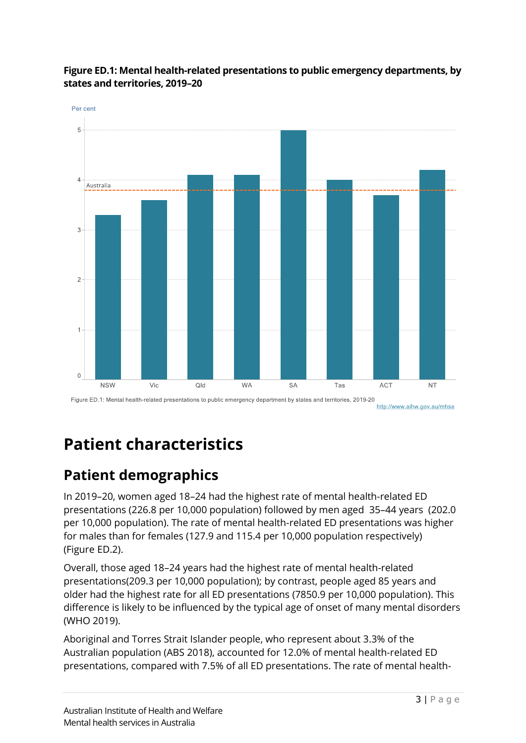

#### **Figure ED.1: Mental health-related presentations to public emergency departments, by states and territories, 2019–20**

Figure ED.1: Mental health-related presentations to public emergency department by states and territories, 2019-20 http://www.aihw.gov.au/mhsa

# **Patient characteristics**

# **Patient demographics**

In 2019–20, women aged 18–24 had the highest rate of mental health-related ED presentations (226.8 per 10,000 population) followed by men aged 35–44 years (202.0 per 10,000 population). The rate of mental health-related ED presentations was higher for males than for females (127.9 and 115.4 per 10,000 population respectively) (Figure ED.2).

Overall, those aged 18–24 years had the highest rate of mental health-related presentations(209.3 per 10,000 population); by contrast, people aged 85 years and older had the highest rate for all ED presentations (7850.9 per 10,000 population). This difference is likely to be influenced by the typical age of onset of many mental disorders (WHO 2019).

Aboriginal and Torres Strait Islander people, who represent about 3.3% of the Australian population (ABS 2018), accounted for 12.0% of mental health-related ED presentations, compared with 7.5% of all ED presentations. The rate of mental health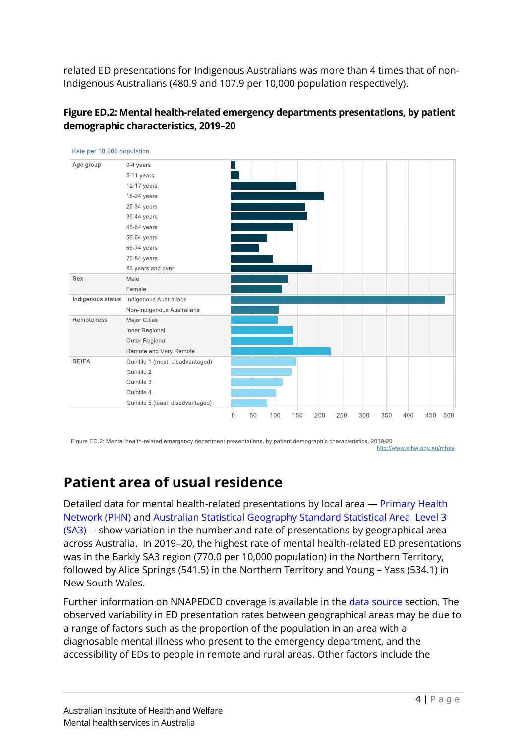related ED presentations for Indigenous Australians was more than 4 times that of non-Indigenous Australians (480.9 and 107.9 per 10,000 population respectively).



| Rate per 10,000 population |                                  |             |    |     |     |     |     |     |     |     |     |     |
|----------------------------|----------------------------------|-------------|----|-----|-----|-----|-----|-----|-----|-----|-----|-----|
| Age group                  | 0-4 years                        |             |    |     |     |     |     |     |     |     |     |     |
|                            | 5-11 years                       |             |    |     |     |     |     |     |     |     |     |     |
|                            | 12-17 years                      |             |    |     |     |     |     |     |     |     |     |     |
|                            | 18-24 years                      |             |    |     |     |     |     |     |     |     |     |     |
|                            | 25-34 years                      |             |    |     |     |     |     |     |     |     |     |     |
|                            | 35-44 years                      |             |    |     |     |     |     |     |     |     |     |     |
|                            | 45-54 years                      |             |    |     |     |     |     |     |     |     |     |     |
|                            | 55-64 years                      |             |    |     |     |     |     |     |     |     |     |     |
|                            | 65-74 years                      |             |    |     |     |     |     |     |     |     |     |     |
|                            | 75-84 years                      |             |    |     |     |     |     |     |     |     |     |     |
|                            | 85 years and over                |             |    |     |     |     |     |     |     |     |     |     |
| Sex                        | Male                             |             |    |     |     |     |     |     |     |     |     |     |
|                            | Female                           |             |    |     |     |     |     |     |     |     |     |     |
| Indigenous status          | Indigenous Australians           |             |    |     |     |     |     |     |     |     |     |     |
|                            | Non-Indigenous Australians       |             |    |     |     |     |     |     |     |     |     |     |
| Remoteness                 | <b>Major Cities</b>              |             |    |     |     |     |     |     |     |     |     |     |
|                            | Inner Regional                   |             |    |     |     |     |     |     |     |     |     |     |
|                            | Outer Regional                   |             |    |     |     |     |     |     |     |     |     |     |
|                            | Remote and Very Remote           |             |    |     |     |     |     |     |     |     |     |     |
| <b>SEIFA</b>               | Quintile 1 (most disadvantaged)  |             |    |     |     |     |     |     |     |     |     |     |
|                            | Quintile 2                       |             |    |     |     |     |     |     |     |     |     |     |
|                            | Quintile 3                       |             |    |     |     |     |     |     |     |     |     |     |
|                            | Quintile 4                       |             |    |     |     |     |     |     |     |     |     |     |
|                            | Quintile 5 (least disadvantaged) |             |    |     |     |     |     |     |     |     |     |     |
|                            |                                  | $\mathbf 0$ | 50 | 100 | 150 | 200 | 250 | 300 | 350 | 400 | 450 | 500 |

Figure ED.2: Mental health-related emergency department presentations, by patient demographic characteristics, 2019-20 http://www.aihw.gov.au/mhsa

### **Patient area of usual residence**

Detailed data for mental health-related presentations by local area — [Primary Health](#page-11-3)  [Network \(PHN\)](#page-11-3) and [Australian Statistical Geography Standard Statistical Area Level 3](https://www.abs.gov.au/ausstats/abs@.nsf/Lookup/by%20Subject/1270.0.55.001~July%202016~Main%20Features~Statistical%20Area%20Level%203%20(SA3)~10015)  [\(SA3\)](https://www.abs.gov.au/ausstats/abs@.nsf/Lookup/by%20Subject/1270.0.55.001~July%202016~Main%20Features~Statistical%20Area%20Level%203%20(SA3)~10015)— show variation in the number and rate of presentations by geographical area across Australia. In 2019–20, the highest rate of mental health-related ED presentations was in the Barkly SA3 region (770.0 per 10,000 population) in the Northern Territory, followed by Alice Springs (541.5) in the Northern Territory and Young – Yass (534.1) in New South Wales.

Further information on NNAPEDCD coverage is available in the [data source](#page-8-1) section. The observed variability in ED presentation rates between geographical areas may be due to a range of factors such as the proportion of the population in an area with a diagnosable mental illness who present to the emergency department, and the accessibility of EDs to people in remote and rural areas. Other factors include the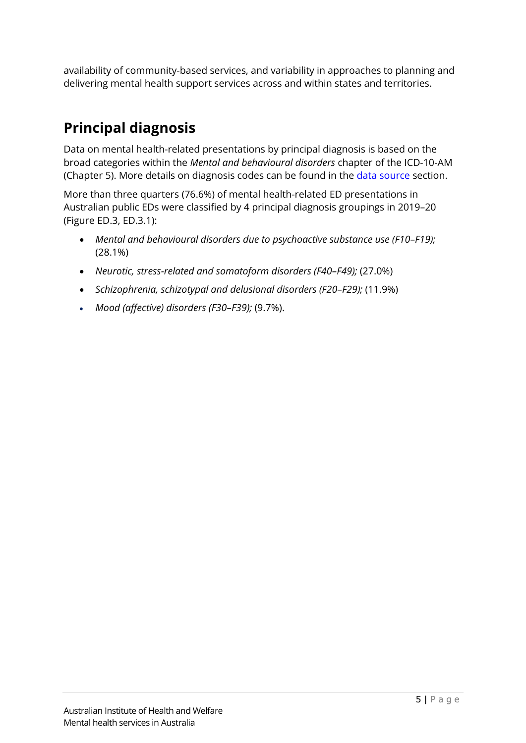availability of community-based services, and variability in approaches to planning and delivering mental health support services across and within states and territories.

# **Principal diagnosis**

Data on mental health-related presentations by principal diagnosis is based on the broad categories within the *Mental and behavioural disorders* chapter of the ICD-10-AM (Chapter 5). More details on diagnosis codes can be found in the [data source](#page-8-1) section.

More than three quarters (76.6%) of mental health-related ED presentations in Australian public EDs were classified by 4 principal diagnosis groupings in 2019–20 (Figure ED.3, ED.3.1):

- *Mental and behavioural disorders due to psychoactive substance use (F10–F19);*  (28.1%)
- *Neurotic, stress-related and somatoform disorders (F40–F49);* (27.0%)
- *Schizophrenia, schizotypal and delusional disorders (F20–F29);* (11.9%)
- *Mood (affective) disorders (F30–F39);* (9.7%).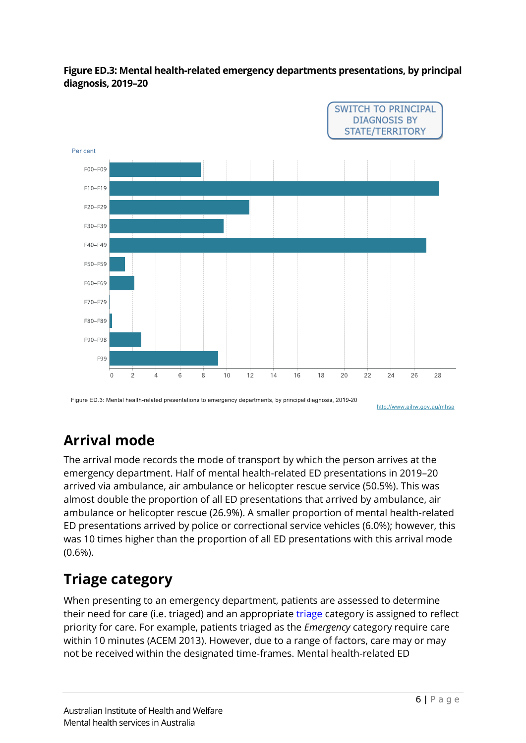



Figure ED.3: Mental health-related presentations to emergency departments, by principal diagnosis, 2019-20

http://www.aihw.gov.au/mhsa

## **Arrival mode**

The arrival mode records the mode of transport by which the person arrives at the emergency department. Half of mental health-related ED presentations in 2019–20 arrived via ambulance, air ambulance or helicopter rescue service (50.5%). This was almost double the proportion of all ED presentations that arrived by ambulance, air ambulance or helicopter rescue (26.9%). A smaller proportion of mental health-related ED presentations arrived by police or correctional service vehicles (6.0%); however, this was 10 times higher than the proportion of all ED presentations with this arrival mode (0.6%).

### **Triage category**

When presenting to an emergency department, patients are assessed to determine their need for care (i.e. triaged) and an appropriate [triage](#page-12-0) category is assigned to reflect priority for care. For example, patients triaged as the *Emergency* category require care within 10 minutes (ACEM 2013). However, due to a range of factors, care may or may not be received within the designated time-frames. Mental health-related ED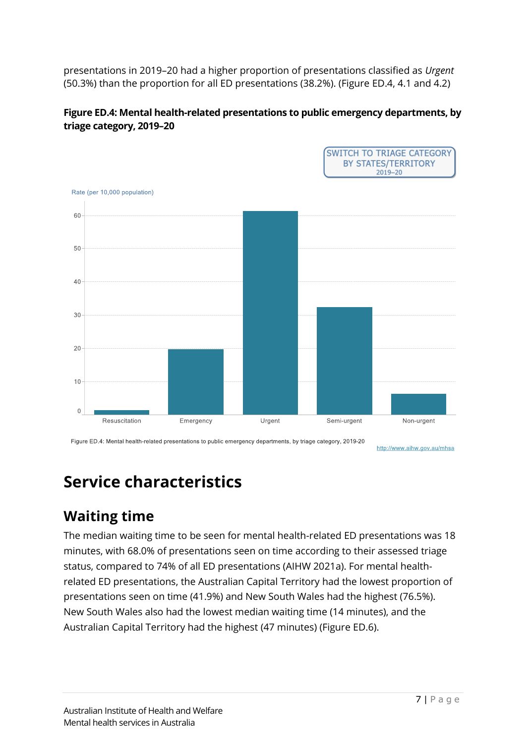presentations in 2019–20 had a higher proportion of presentations classified as *Urgent* (50.3%) than the proportion for all ED presentations (38.2%). (Figure ED.4, 4.1 and 4.2)





Figure ED.4: Mental health-related presentations to public emergency departments, by triage category, 2019-20

http://www.aihw.gov.au/mhsa

**SWITCH TO TRIAGE CATEGORY** 

# **Service characteristics**

### **Waiting time**

The median waiting time to be seen for mental health-related ED presentations was 18 minutes, with 68.0% of presentations seen on time according to their assessed triage status, compared to 74% of all ED presentations (AIHW 2021a). For mental healthrelated ED presentations, the Australian Capital Territory had the lowest proportion of presentations seen on time (41.9%) and New South Wales had the highest (76.5%). New South Wales also had the lowest median waiting time (14 minutes), and the Australian Capital Territory had the highest (47 minutes) (Figure ED.6).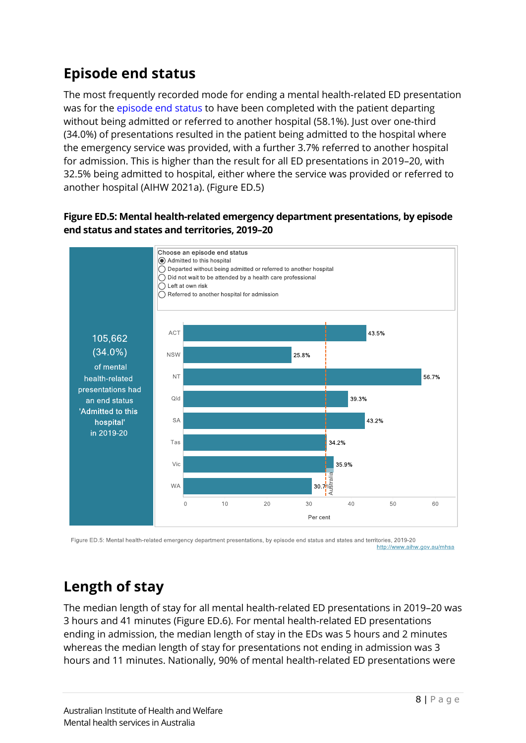# **Episode end status**

The most frequently recorded mode for ending a mental health-related ED presentation was for the [episode end status](#page-10-0) to have been completed with the patient departing without being admitted or referred to another hospital (58.1%). Just over one-third (34.0%) of presentations resulted in the patient being admitted to the hospital where the emergency service was provided, with a further 3.7% referred to another hospital for admission. This is higher than the result for all ED presentations in 2019–20, with 32.5% being admitted to hospital, either where the service was provided or referred to another hospital (AIHW 2021a). (Figure ED.5)



#### **Figure ED.5: Mental health-related emergency department presentations, by episode end status and states and territories, 2019–20**

Figure ED.5: Mental health-related emergency department presentations, by episode end status and states and territories, 2019-20 http://www.aihw.gov.au/mhsa

# **Length of stay**

The median length of stay for all mental health-related ED presentations in 2019–20 was 3 hours and 41 minutes (Figure ED.6). For mental health-related ED presentations ending in admission, the median length of stay in the EDs was 5 hours and 2 minutes whereas the median length of stay for presentations not ending in admission was 3 hours and 11 minutes. Nationally, 90% of mental health-related ED presentations were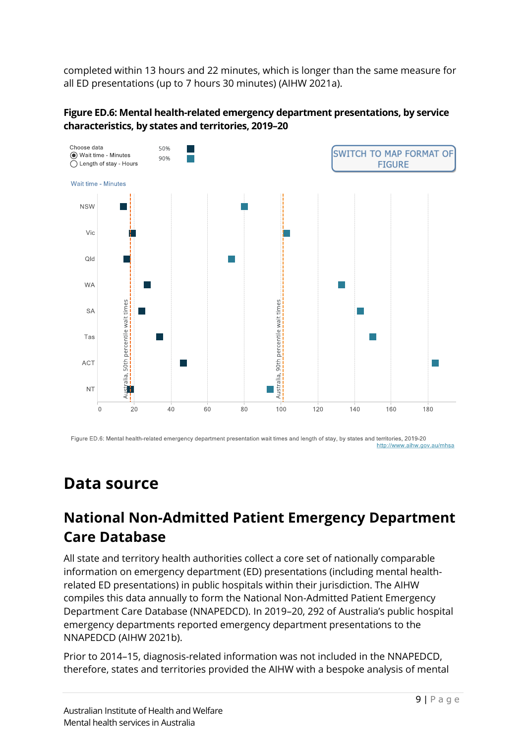completed within 13 hours and 22 minutes, which is longer than the same measure for all ED presentations (up to 7 hours 30 minutes) (AIHW 2021a).





Figure ED.6: Mental health-related emergency department presentation wait times and length of stay, by states and territories, 2019-20 http://www.aihw.gov.au/mhsa

# <span id="page-8-1"></span>**Data source**

### <span id="page-8-0"></span>**National Non-Admitted Patient Emergency Department Care Database**

All state and territory health authorities collect a core set of nationally comparable information on emergency department (ED) presentations (including mental healthrelated ED presentations) in public hospitals within their jurisdiction. The AIHW compiles this data annually to form the National Non-Admitted Patient Emergency Department Care Database (NNAPEDCD). In 2019–20, 292 of Australia's public hospital emergency departments reported emergency department presentations to the NNAPEDCD (AIHW 2021b).

Prior to 2014–15, diagnosis-related information was not included in the NNAPEDCD, therefore, states and territories provided the AIHW with a bespoke analysis of mental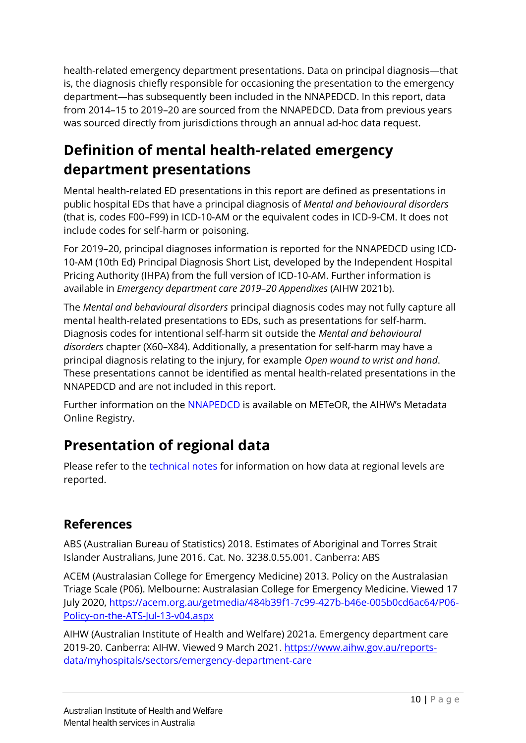health-related emergency department presentations. Data on principal diagnosis—that is, the diagnosis chiefly responsible for occasioning the presentation to the emergency department—has subsequently been included in the NNAPEDCD. In this report, data from 2014–15 to 2019–20 are sourced from the NNAPEDCD. Data from previous years was sourced directly from jurisdictions through an annual ad-hoc data request.

# **Definition of mental health-related emergency department presentations**

Mental health-related ED presentations in this report are defined as presentations in public hospital EDs that have a principal diagnosis of *Mental and behavioural disorders* (that is, codes F00–F99) in ICD-10-AM or the equivalent codes in ICD-9-CM. It does not include codes for self-harm or poisoning.

For 2019–20, principal diagnoses information is reported for the NNAPEDCD using ICD-10-AM (10th Ed) Principal Diagnosis Short List, developed by the Independent Hospital Pricing Authority (IHPA) from the full version of ICD-10-AM. Further information is available in *Emergency department care 2019–20 Appendixes* (AIHW 2021b).

The *Mental and behavioural disorders* principal diagnosis codes may not fully capture all mental health-related presentations to EDs, such as presentations for self-harm. Diagnosis codes for intentional self-harm sit outside the *Mental and behavioural disorders* chapter (X60–X84). Additionally, a presentation for self-harm may have a principal diagnosis relating to the injury, for example *Open wound to wrist and hand*. These presentations cannot be identified as mental health-related presentations in the NNAPEDCD and are not included in this report.

Further information on the [NNAPEDCD](https://meteor.aihw.gov.au/content/index.phtml/itemId/699738) is available on METeOR, the AIHW's Metadata Online Registry.

# **Presentation of regional data**

Please refer to the [technical notes](https://www.aihw.gov.au/reports/mental-health-services/mental-health-services-in-australia/classifications-and-technical-notes) for information on how data at regional levels are reported.

#### **References**

ABS (Australian Bureau of Statistics) 2018. Estimates of Aboriginal and Torres Strait Islander Australians, June 2016. Cat. No. 3238.0.55.001. Canberra: ABS

ACEM (Australasian College for Emergency Medicine) 2013. Policy on the Australasian Triage Scale (P06). Melbourne: Australasian College for Emergency Medicine. Viewed 17 July 2020, [https://acem.org.au/getmedia/484b39f1-7c99-427b-b46e-005b0cd6ac64/P06-](https://acem.org.au/getmedia/484b39f1-7c99-427b-b46e-005b0cd6ac64/P06-Policy-on-the-ATS-Jul-13-v04.aspx) [Policy-on-the-ATS-Jul-13-v04.aspx](https://acem.org.au/getmedia/484b39f1-7c99-427b-b46e-005b0cd6ac64/P06-Policy-on-the-ATS-Jul-13-v04.aspx)

AIHW (Australian Institute of Health and Welfare) 2021a. Emergency department care 2019-20. Canberra: AIHW. Viewed 9 March 2021. [https://www.aihw.gov.au/reports](https://www.aihw.gov.au/reports-data/myhospitals/sectors/emergency-department-care)[data/myhospitals/sectors/emergency-department-care](https://www.aihw.gov.au/reports-data/myhospitals/sectors/emergency-department-care)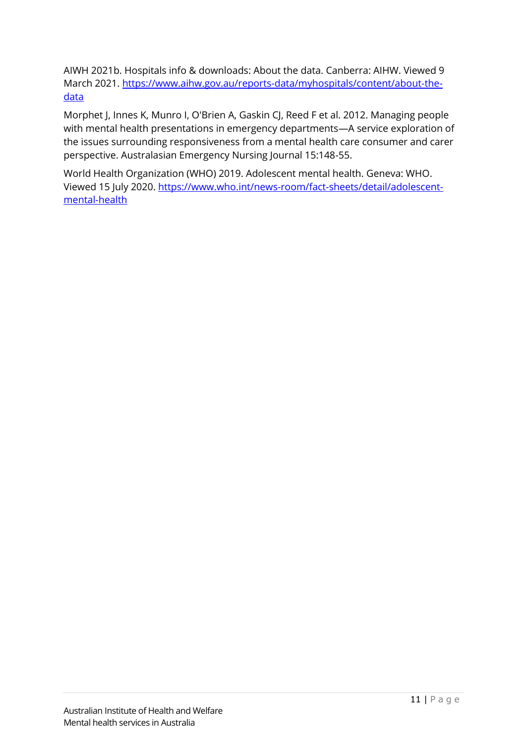AIWH 2021b. Hospitals info & downloads: About the data. Canberra: AIHW. Viewed 9 March 2021. [https://www.aihw.gov.au/reports-data/myhospitals/content/about-the](https://www.aihw.gov.au/reports-data/myhospitals/content/about-the-data)[data](https://www.aihw.gov.au/reports-data/myhospitals/content/about-the-data)

Morphet J, Innes K, Munro I, O'Brien A, Gaskin CJ, Reed F et al. 2012. Managing people with mental health presentations in emergency departments—A service exploration of the issues surrounding responsiveness from a mental health care consumer and carer perspective. Australasian Emergency Nursing Journal 15:148-55.

<span id="page-10-0"></span>World Health Organization (WHO) 2019. Adolescent mental health. Geneva: WHO. Viewed 15 July 2020. [https://www.who.int/news-room/fact-sheets/detail/adolescent](https://www.who.int/news-room/fact-sheets/detail/adolescent-mental-health)[mental-health](https://www.who.int/news-room/fact-sheets/detail/adolescent-mental-health)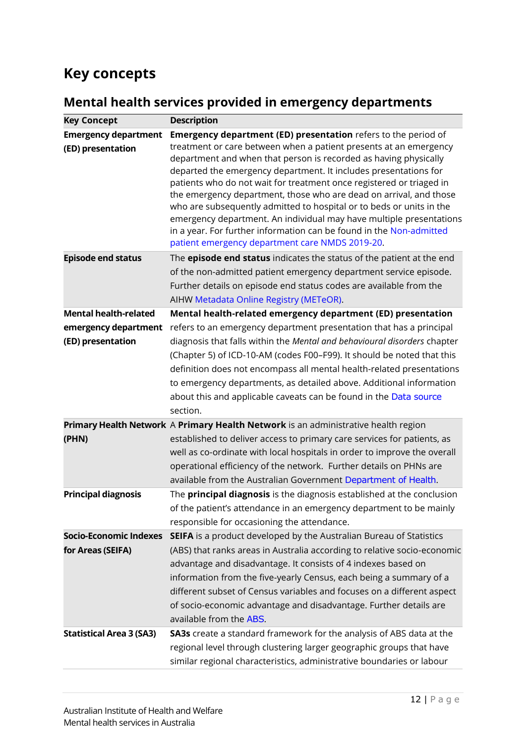### **Key concepts**

#### <span id="page-11-0"></span>**Mental health services provided in emergency departments**

<span id="page-11-3"></span><span id="page-11-2"></span><span id="page-11-1"></span>

| <b>Key Concept</b>                                                            | <b>Description</b>                                                                                                                                                                                                                                                                                                                                                                                                                                                                                                                                                                                                                                                                                                                                                                        |
|-------------------------------------------------------------------------------|-------------------------------------------------------------------------------------------------------------------------------------------------------------------------------------------------------------------------------------------------------------------------------------------------------------------------------------------------------------------------------------------------------------------------------------------------------------------------------------------------------------------------------------------------------------------------------------------------------------------------------------------------------------------------------------------------------------------------------------------------------------------------------------------|
| <b>Emergency department</b><br>(ED) presentation<br><b>Episode end status</b> | <b>Emergency department (ED) presentation</b> refers to the period of<br>treatment or care between when a patient presents at an emergency<br>department and when that person is recorded as having physically<br>departed the emergency department. It includes presentations for<br>patients who do not wait for treatment once registered or triaged in<br>the emergency department, those who are dead on arrival, and those<br>who are subsequently admitted to hospital or to beds or units in the<br>emergency department. An individual may have multiple presentations<br>in a year. For further information can be found in the Non-admitted<br>patient emergency department care NMDS 2019-20.<br>The <b>episode end status</b> indicates the status of the patient at the end |
|                                                                               | of the non-admitted patient emergency department service episode.<br>Further details on episode end status codes are available from the<br>AIHW Metadata Online Registry (METeOR).                                                                                                                                                                                                                                                                                                                                                                                                                                                                                                                                                                                                        |
| <b>Mental health-related</b>                                                  | Mental health-related emergency department (ED) presentation                                                                                                                                                                                                                                                                                                                                                                                                                                                                                                                                                                                                                                                                                                                              |
| emergency department<br>(ED) presentation                                     | refers to an emergency department presentation that has a principal<br>diagnosis that falls within the Mental and behavioural disorders chapter<br>(Chapter 5) of ICD-10-AM (codes F00-F99). It should be noted that this<br>definition does not encompass all mental health-related presentations<br>to emergency departments, as detailed above. Additional information<br>about this and applicable caveats can be found in the Data source<br>section.                                                                                                                                                                                                                                                                                                                                |
|                                                                               | Primary Health Network A Primary Health Network is an administrative health region                                                                                                                                                                                                                                                                                                                                                                                                                                                                                                                                                                                                                                                                                                        |
| (PHN)                                                                         | established to deliver access to primary care services for patients, as<br>well as co-ordinate with local hospitals in order to improve the overall<br>operational efficiency of the network. Further details on PHNs are<br>available from the Australian Government Department of Health.                                                                                                                                                                                                                                                                                                                                                                                                                                                                                               |
| <b>Principal diagnosis</b>                                                    | The <b>principal diagnosis</b> is the diagnosis established at the conclusion<br>of the patient's attendance in an emergency department to be mainly<br>responsible for occasioning the attendance.                                                                                                                                                                                                                                                                                                                                                                                                                                                                                                                                                                                       |
| <b>Socio-Economic Indexes</b>                                                 | SEIFA is a product developed by the Australian Bureau of Statistics                                                                                                                                                                                                                                                                                                                                                                                                                                                                                                                                                                                                                                                                                                                       |
| for Areas (SEIFA)                                                             | (ABS) that ranks areas in Australia according to relative socio-economic<br>advantage and disadvantage. It consists of 4 indexes based on<br>information from the five-yearly Census, each being a summary of a<br>different subset of Census variables and focuses on a different aspect<br>of socio-economic advantage and disadvantage. Further details are<br>available from the ABS.                                                                                                                                                                                                                                                                                                                                                                                                 |
| <b>Statistical Area 3 (SA3)</b>                                               | SA3s create a standard framework for the analysis of ABS data at the<br>regional level through clustering larger geographic groups that have<br>similar regional characteristics, administrative boundaries or labour                                                                                                                                                                                                                                                                                                                                                                                                                                                                                                                                                                     |